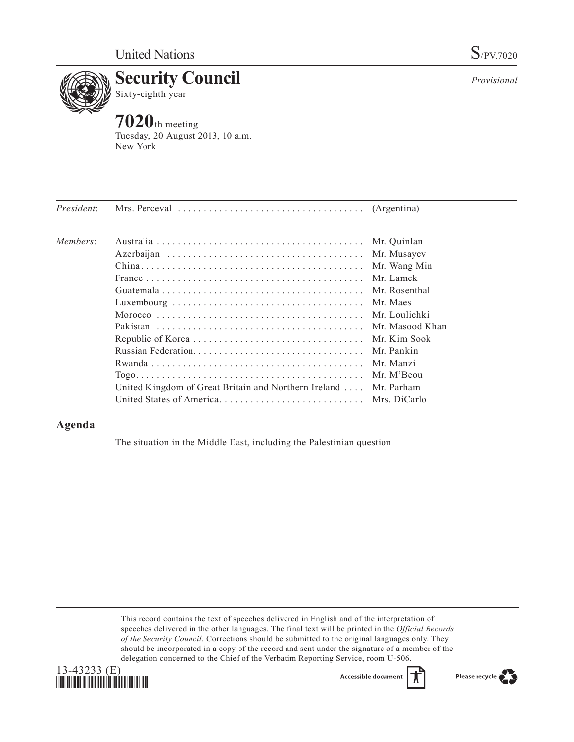

*Provisional*

**7020**th meeting Tuesday, 20 August 2013, 10 a.m. New York

| Members: |                                                      | Mr. Quinlan   |
|----------|------------------------------------------------------|---------------|
|          |                                                      | Mr. Musayev   |
|          |                                                      | Mr. Wang Min  |
|          |                                                      | Mr. Lamek     |
|          |                                                      | Mr. Rosenthal |
|          |                                                      | Mr. Maes      |
|          |                                                      |               |
|          |                                                      |               |
|          |                                                      | Mr. Kim Sook  |
|          |                                                      | Mr. Pankin    |
|          |                                                      | Mr. Manzi     |
|          |                                                      | Mr. M'Beou    |
|          | United Kingdom of Great Britain and Northern Ireland | Mr. Parham    |
|          |                                                      |               |

## **Agenda**

The situation in the Middle East, including the Palestinian question

This record contains the text of speeches delivered in English and of the interpretation of speeches delivered in the other languages. The final text will be printed in the *Official Records of the Security Council*. Corrections should be submitted to the original languages only. They should be incorporated in a copy of the record and sent under the signature of a member of the delegation concerned to the Chief of the Verbatim Reporting Service, room U-506.



Accessible documen

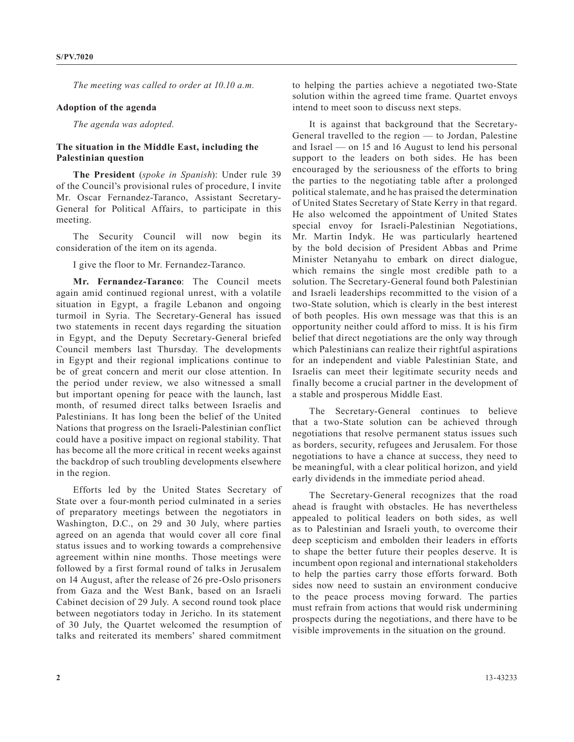*The meeting was called to order at 10.10 a.m.*

## **Adoption of the agenda**

*The agenda was adopted.*

## **The situation in the Middle East, including the Palestinian question**

**The President** (*spoke in Spanish*): Under rule 39 of the Council's provisional rules of procedure, I invite Mr. Oscar Fernandez-Taranco, Assistant Secretary-General for Political Affairs, to participate in this meeting.

The Security Council will now begin its consideration of the item on its agenda.

I give the floor to Mr. Fernandez-Taranco.

**Mr. Fernandez-Taranco**: The Council meets again amid continued regional unrest, with a volatile situation in Egypt, a fragile Lebanon and ongoing turmoil in Syria. The Secretary-General has issued two statements in recent days regarding the situation in Egypt, and the Deputy Secretary-General briefed Council members last Thursday. The developments in Egypt and their regional implications continue to be of great concern and merit our close attention. In the period under review, we also witnessed a small but important opening for peace with the launch, last month, of resumed direct talks between Israelis and Palestinians. It has long been the belief of the United Nations that progress on the Israeli-Palestinian conflict could have a positive impact on regional stability. That has become all the more critical in recent weeks against the backdrop of such troubling developments elsewhere in the region.

Efforts led by the United States Secretary of State over a four-month period culminated in a series of preparatory meetings between the negotiators in Washington, D.C., on 29 and 30 July, where parties agreed on an agenda that would cover all core final status issues and to working towards a comprehensive agreement within nine months. Those meetings were followed by a first formal round of talks in Jerusalem on 14 August, after the release of 26 pre-Oslo prisoners from Gaza and the West Bank, based on an Israeli Cabinet decision of 29 July. A second round took place between negotiators today in Jericho. In its statement of 30 July, the Quartet welcomed the resumption of talks and reiterated its members' shared commitment

to helping the parties achieve a negotiated two-State solution within the agreed time frame. Quartet envoys intend to meet soon to discuss next steps.

It is against that background that the Secretary-General travelled to the region — to Jordan, Palestine and Israel — on 15 and 16 August to lend his personal support to the leaders on both sides. He has been encouraged by the seriousness of the efforts to bring the parties to the negotiating table after a prolonged political stalemate, and he has praised the determination of United States Secretary of State Kerry in that regard. He also welcomed the appointment of United States special envoy for Israeli-Palestinian Negotiations, Mr. Martin Indyk. He was particularly heartened by the bold decision of President Abbas and Prime Minister Netanyahu to embark on direct dialogue, which remains the single most credible path to a solution. The Secretary-General found both Palestinian and Israeli leaderships recommitted to the vision of a two-State solution, which is clearly in the best interest of both peoples. His own message was that this is an opportunity neither could afford to miss. It is his firm belief that direct negotiations are the only way through which Palestinians can realize their rightful aspirations for an independent and viable Palestinian State, and Israelis can meet their legitimate security needs and finally become a crucial partner in the development of a stable and prosperous Middle East.

The Secretary-General continues to believe that a two-State solution can be achieved through negotiations that resolve permanent status issues such as borders, security, refugees and Jerusalem. For those negotiations to have a chance at success, they need to be meaningful, with a clear political horizon, and yield early dividends in the immediate period ahead.

The Secretary-General recognizes that the road ahead is fraught with obstacles. He has nevertheless appealed to political leaders on both sides, as well as to Palestinian and Israeli youth, to overcome their deep scepticism and embolden their leaders in efforts to shape the better future their peoples deserve. It is incumbent opon regional and international stakeholders to help the parties carry those efforts forward. Both sides now need to sustain an environment conducive to the peace process moving forward. The parties must refrain from actions that would risk undermining prospects during the negotiations, and there have to be visible improvements in the situation on the ground.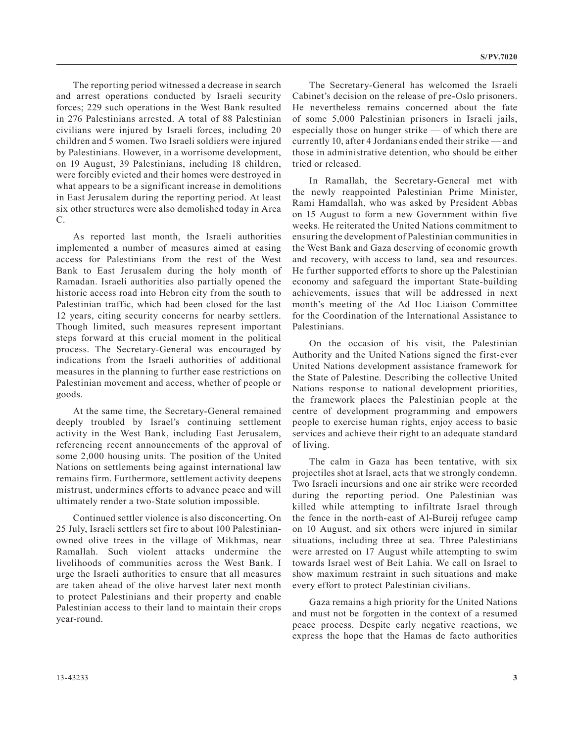The reporting period witnessed a decrease in search and arrest operations conducted by Israeli security forces; 229 such operations in the West Bank resulted in 276 Palestinians arrested. A total of 88 Palestinian civilians were injured by Israeli forces, including 20 children and 5 women. Two Israeli soldiers were injured by Palestinians. However, in a worrisome development, on 19 August, 39 Palestinians, including 18 children, were forcibly evicted and their homes were destroyed in what appears to be a significant increase in demolitions in East Jerusalem during the reporting period. At least six other structures were also demolished today in Area C.

As reported last month, the Israeli authorities implemented a number of measures aimed at easing access for Palestinians from the rest of the West Bank to East Jerusalem during the holy month of Ramadan. Israeli authorities also partially opened the historic access road into Hebron city from the south to Palestinian traffic, which had been closed for the last 12 years, citing security concerns for nearby settlers. Though limited, such measures represent important steps forward at this crucial moment in the political process. The Secretary-General was encouraged by indications from the Israeli authorities of additional measures in the planning to further ease restrictions on Palestinian movement and access, whether of people or goods.

At the same time, the Secretary-General remained deeply troubled by Israel's continuing settlement activity in the West Bank, including East Jerusalem, referencing recent announcements of the approval of some 2,000 housing units. The position of the United Nations on settlements being against international law remains firm. Furthermore, settlement activity deepens mistrust, undermines efforts to advance peace and will ultimately render a two-State solution impossible.

Continued settler violence is also disconcerting. On 25 July, Israeli settlers set fire to about 100 Palestinianowned olive trees in the village of Mikhmas, near Ramallah. Such violent attacks undermine the livelihoods of communities across the West Bank. I urge the Israeli authorities to ensure that all measures are taken ahead of the olive harvest later next month to protect Palestinians and their property and enable Palestinian access to their land to maintain their crops year-round.

The Secretary-General has welcomed the Israeli Cabinet's decision on the release of pre-Oslo prisoners. He nevertheless remains concerned about the fate of some 5,000 Palestinian prisoners in Israeli jails, especially those on hunger strike — of which there are currently 10, after 4 Jordanians ended their strike — and those in administrative detention, who should be either tried or released.

In Ramallah, the Secretary-General met with the newly reappointed Palestinian Prime Minister, Rami Hamdallah, who was asked by President Abbas on 15 August to form a new Government within five weeks. He reiterated the United Nations commitment to ensuring the development of Palestinian communities in the West Bank and Gaza deserving of economic growth and recovery, with access to land, sea and resources. He further supported efforts to shore up the Palestinian economy and safeguard the important State-building achievements, issues that will be addressed in next month's meeting of the Ad Hoc Liaison Committee for the Coordination of the International Assistance to Palestinians.

On the occasion of his visit, the Palestinian Authority and the United Nations signed the first-ever United Nations development assistance framework for the State of Palestine. Describing the collective United Nations response to national development priorities, the framework places the Palestinian people at the centre of development programming and empowers people to exercise human rights, enjoy access to basic services and achieve their right to an adequate standard of living.

The calm in Gaza has been tentative, with six projectiles shot at Israel, acts that we strongly condemn. Two Israeli incursions and one air strike were recorded during the reporting period. One Palestinian was killed while attempting to infiltrate Israel through the fence in the north-east of Al-Bureij refugee camp on 10 August, and six others were injured in similar situations, including three at sea. Three Palestinians were arrested on 17 August while attempting to swim towards Israel west of Beit Lahia. We call on Israel to show maximum restraint in such situations and make every effort to protect Palestinian civilians.

Gaza remains a high priority for the United Nations and must not be forgotten in the context of a resumed peace process. Despite early negative reactions, we express the hope that the Hamas de facto authorities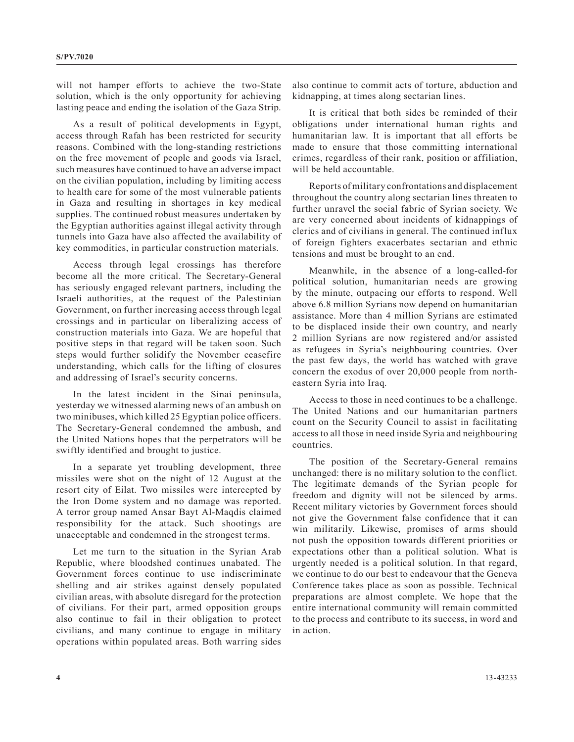will not hamper efforts to achieve the two-State solution, which is the only opportunity for achieving lasting peace and ending the isolation of the Gaza Strip.

As a result of political developments in Egypt, access through Rafah has been restricted for security reasons. Combined with the long-standing restrictions on the free movement of people and goods via Israel, such measures have continued to have an adverse impact on the civilian population, including by limiting access to health care for some of the most vulnerable patients in Gaza and resulting in shortages in key medical supplies. The continued robust measures undertaken by the Egyptian authorities against illegal activity through tunnels into Gaza have also affected the availability of key commodities, in particular construction materials.

Access through legal crossings has therefore become all the more critical. The Secretary-General has seriously engaged relevant partners, including the Israeli authorities, at the request of the Palestinian Government, on further increasing access through legal crossings and in particular on liberalizing access of construction materials into Gaza. We are hopeful that positive steps in that regard will be taken soon. Such steps would further solidify the November ceasefire understanding, which calls for the lifting of closures and addressing of Israel's security concerns.

In the latest incident in the Sinai peninsula, yesterday we witnessed alarming news of an ambush on two minibuses, which killed 25 Egyptian police officers. The Secretary-General condemned the ambush, and the United Nations hopes that the perpetrators will be swiftly identified and brought to justice.

In a separate yet troubling development, three missiles were shot on the night of 12 August at the resort city of Eilat. Two missiles were intercepted by the Iron Dome system and no damage was reported. A terror group named Ansar Bayt Al-Maqdis claimed responsibility for the attack. Such shootings are unacceptable and condemned in the strongest terms.

Let me turn to the situation in the Syrian Arab Republic, where bloodshed continues unabated. The Government forces continue to use indiscriminate shelling and air strikes against densely populated civilian areas, with absolute disregard for the protection of civilians. For their part, armed opposition groups also continue to fail in their obligation to protect civilians, and many continue to engage in military operations within populated areas. Both warring sides

also continue to commit acts of torture, abduction and kidnapping, at times along sectarian lines.

It is critical that both sides be reminded of their obligations under international human rights and humanitarian law. It is important that all efforts be made to ensure that those committing international crimes, regardless of their rank, position or affiliation, will be held accountable.

Reports of military confrontations and displacement throughout the country along sectarian lines threaten to further unravel the social fabric of Syrian society. We are very concerned about incidents of kidnappings of clerics and of civilians in general. The continued influx of foreign fighters exacerbates sectarian and ethnic tensions and must be brought to an end.

Meanwhile, in the absence of a long-called-for political solution, humanitarian needs are growing by the minute, outpacing our efforts to respond. Well above 6.8 million Syrians now depend on humanitarian assistance. More than 4 million Syrians are estimated to be displaced inside their own country, and nearly 2 million Syrians are now registered and/or assisted as refugees in Syria's neighbouring countries. Over the past few days, the world has watched with grave concern the exodus of over 20,000 people from northeastern Syria into Iraq.

Access to those in need continues to be a challenge. The United Nations and our humanitarian partners count on the Security Council to assist in facilitating access to all those in need inside Syria and neighbouring countries.

The position of the Secretary-General remains unchanged: there is no military solution to the conflict. The legitimate demands of the Syrian people for freedom and dignity will not be silenced by arms. Recent military victories by Government forces should not give the Government false confidence that it can win militarily. Likewise, promises of arms should not push the opposition towards different priorities or expectations other than a political solution. What is urgently needed is a political solution. In that regard, we continue to do our best to endeavour that the Geneva Conference takes place as soon as possible. Technical preparations are almost complete. We hope that the entire international community will remain committed to the process and contribute to its success, in word and in action.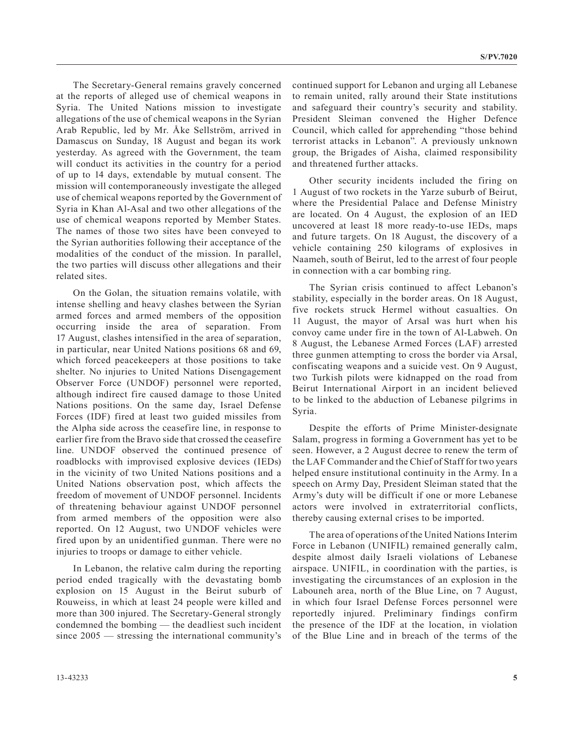The Secretary-General remains gravely concerned at the reports of alleged use of chemical weapons in Syria. The United Nations mission to investigate allegations of the use of chemical weapons in the Syrian Arab Republic, led by Mr. Åke Sellström, arrived in Damascus on Sunday, 18 August and began its work yesterday. As agreed with the Government, the team will conduct its activities in the country for a period of up to 14 days, extendable by mutual consent. The mission will contemporaneously investigate the alleged use of chemical weapons reported by the Government of Syria in Khan Al-Asal and two other allegations of the use of chemical weapons reported by Member States. The names of those two sites have been conveyed to the Syrian authorities following their acceptance of the modalities of the conduct of the mission. In parallel, the two parties will discuss other allegations and their related sites.

On the Golan, the situation remains volatile, with intense shelling and heavy clashes between the Syrian armed forces and armed members of the opposition occurring inside the area of separation. From 17 August, clashes intensified in the area of separation, in particular, near United Nations positions 68 and 69, which forced peacekeepers at those positions to take shelter. No injuries to United Nations Disengagement Observer Force (UNDOF) personnel were reported, although indirect fire caused damage to those United Nations positions. On the same day, Israel Defense Forces (IDF) fired at least two guided missiles from the Alpha side across the ceasefire line, in response to earlier fire from the Bravo side that crossed the ceasefire line. UNDOF observed the continued presence of roadblocks with improvised explosive devices (IEDs) in the vicinity of two United Nations positions and a United Nations observation post, which affects the freedom of movement of UNDOF personnel. Incidents of threatening behaviour against UNDOF personnel from armed members of the opposition were also reported. On 12 August, two UNDOF vehicles were fired upon by an unidentified gunman. There were no injuries to troops or damage to either vehicle.

In Lebanon, the relative calm during the reporting period ended tragically with the devastating bomb explosion on 15 August in the Beirut suburb of Rouweiss, in which at least 24 people were killed and more than 300 injured. The Secretary-General strongly condemned the bombing — the deadliest such incident since 2005 — stressing the international community's

continued support for Lebanon and urging all Lebanese to remain united, rally around their State institutions and safeguard their country's security and stability. President Sleiman convened the Higher Defence Council, which called for apprehending "those behind terrorist attacks in Lebanon". A previously unknown group, the Brigades of Aisha, claimed responsibility and threatened further attacks.

Other security incidents included the firing on 1 August of two rockets in the Yarze suburb of Beirut, where the Presidential Palace and Defense Ministry are located. On 4 August, the explosion of an IED uncovered at least 18 more ready-to-use IEDs, maps and future targets. On 18 August, the discovery of a vehicle containing 250 kilograms of explosives in Naameh, south of Beirut, led to the arrest of four people in connection with a car bombing ring.

The Syrian crisis continued to affect Lebanon's stability, especially in the border areas. On 18 August, five rockets struck Hermel without casualties. On 11 August, the mayor of Arsal was hurt when his convoy came under fire in the town of Al-Labweh. On 8 August, the Lebanese Armed Forces (LAF) arrested three gunmen attempting to cross the border via Arsal, confiscating weapons and a suicide vest. On 9 August, two Turkish pilots were kidnapped on the road from Beirut International Airport in an incident believed to be linked to the abduction of Lebanese pilgrims in Syria.

Despite the efforts of Prime Minister-designate Salam, progress in forming a Government has yet to be seen. However, a 2 August decree to renew the term of the LAF Commander and the Chief of Staff for two years helped ensure institutional continuity in the Army. In a speech on Army Day, President Sleiman stated that the Army's duty will be difficult if one or more Lebanese actors were involved in extraterritorial conflicts, thereby causing external crises to be imported.

The area of operations of the United Nations Interim Force in Lebanon (UNIFIL) remained generally calm, despite almost daily Israeli violations of Lebanese airspace. UNIFIL, in coordination with the parties, is investigating the circumstances of an explosion in the Labouneh area, north of the Blue Line, on 7 August, in which four Israel Defense Forces personnel were reportedly injured. Preliminary findings confirm the presence of the IDF at the location, in violation of the Blue Line and in breach of the terms of the